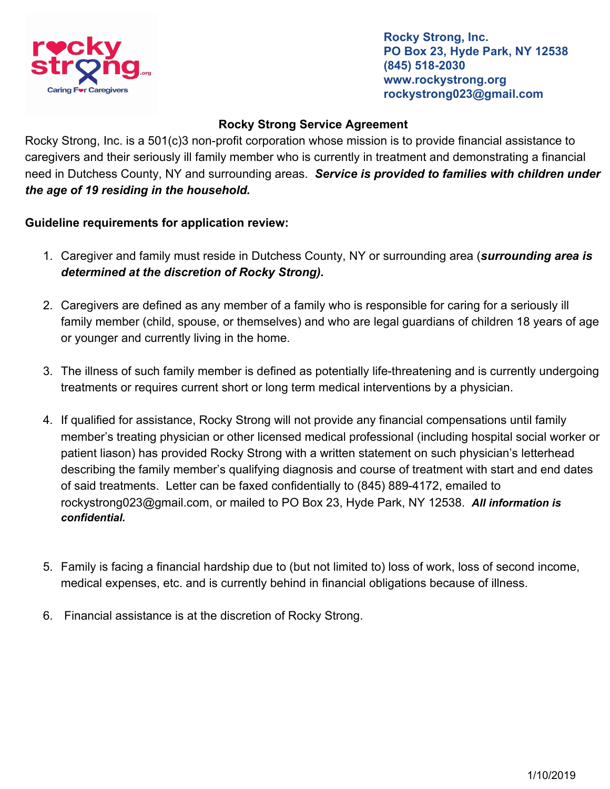

**Rocky Strong, Inc. PO Box 23, Hyde Park, NY 12538 (845) 518-2030 www.rockystrong.org rockystrong023@gmail.com**

## **Rocky Strong Service Agreement**

Rocky Strong, Inc. is a 501(c)3 non-profit corporation whose mission is to provide financial assistance to caregivers and their seriously ill family member who is currently in treatment and demonstrating a financial need in Dutchess County, NY and surrounding areas. *Service is provided to families with children under the age of 19 residing in the household.*

## **Guideline requirements for application review:**

- 1. Caregiver and family must reside in Dutchess County, NY or surrounding area (*surrounding area is determined at the discretion of Rocky Strong).*
- 2. Caregivers are defined as any member of a family who is responsible for caring for a seriously ill family member (child, spouse, or themselves) and who are legal guardians of children 18 years of age or younger and currently living in the home.
- 3. The illness of such family member is defined as potentially life-threatening and is currently undergoing treatments or requires current short or long term medical interventions by a physician.
- 4. If qualified for assistance, Rocky Strong will not provide any financial compensations until family member's treating physician or other licensed medical professional (including hospital social worker or patient liason) has provided Rocky Strong with a written statement on such physician's letterhead describing the family member's qualifying diagnosis and course of treatment with start and end dates of said treatments. Letter can be faxed confidentially to (845) 889-4172, emailed to rockystrong023@gmail.com, or mailed to PO Box 23, Hyde Park, NY 12538. *All information is confidential.*
- 5. Family is facing a financial hardship due to (but not limited to) loss of work, loss of second income, medical expenses, etc. and is currently behind in financial obligations because of illness.
- 6. Financial assistance is at the discretion of Rocky Strong.